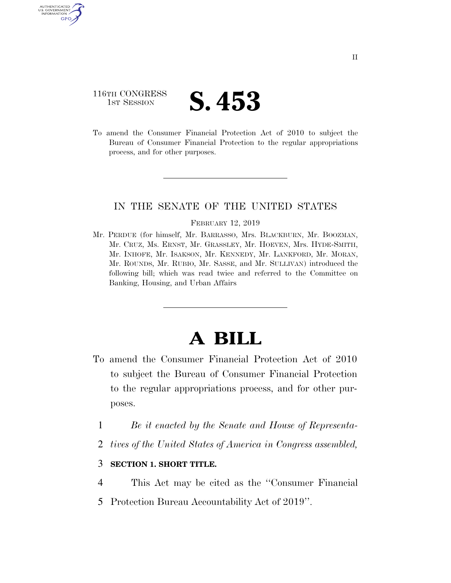## 116TH CONGRESS TH CONGRESS **S. 453**

AUTHENTICATE U.S. GOVERNMENT GPO

> To amend the Consumer Financial Protection Act of 2010 to subject the Bureau of Consumer Financial Protection to the regular appropriations process, and for other purposes.

## IN THE SENATE OF THE UNITED STATES

#### FEBRUARY 12, 2019

Mr. PERDUE (for himself, Mr. BARRASSO, Mrs. BLACKBURN, Mr. BOOZMAN, Mr. CRUZ, Ms. ERNST, Mr. GRASSLEY, Mr. HOEVEN, Mrs. HYDE-SMITH, Mr. INHOFE, Mr. ISAKSON, Mr. KENNEDY, Mr. LANKFORD, Mr. MORAN, Mr. ROUNDS, Mr. RUBIO, Mr. SASSE, and Mr. SULLIVAN) introduced the following bill; which was read twice and referred to the Committee on Banking, Housing, and Urban Affairs

# **A BILL**

- To amend the Consumer Financial Protection Act of 2010 to subject the Bureau of Consumer Financial Protection to the regular appropriations process, and for other purposes.
	- 1 *Be it enacted by the Senate and House of Representa-*
	- 2 *tives of the United States of America in Congress assembled,*

### 3 **SECTION 1. SHORT TITLE.**

- 4 This Act may be cited as the ''Consumer Financial
- 5 Protection Bureau Accountability Act of 2019''.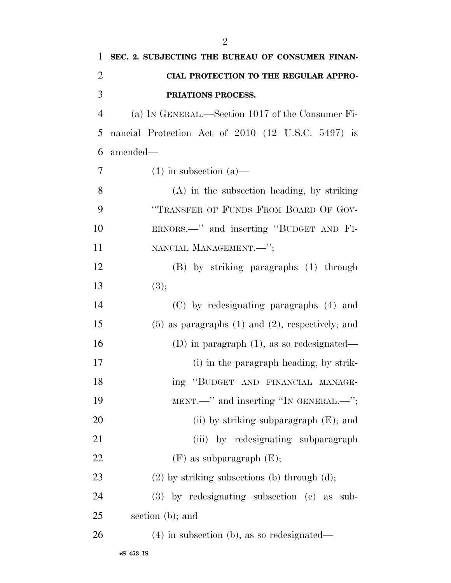| $\mathbf{1}$   | SEC. 2. SUBJECTING THE BUREAU OF CONSUMER FINAN-        |
|----------------|---------------------------------------------------------|
| $\overline{2}$ | CIAL PROTECTION TO THE REGULAR APPRO-                   |
| 3              | PRIATIONS PROCESS.                                      |
| $\overline{4}$ | (a) IN GENERAL.—Section 1017 of the Consumer Fi-        |
| 5              | nancial Protection Act of 2010 (12 U.S.C. 5497) is      |
| 6              | amended—                                                |
| 7              | $(1)$ in subsection $(a)$ —                             |
| 8              | $(A)$ in the subsection heading, by striking            |
| 9              | "TRANSFER OF FUNDS FROM BOARD OF GOV-                   |
| 10             | ERNORS.—" and inserting "BUDGET AND FI-                 |
| 11             | NANCIAL MANAGEMENT.-";                                  |
| 12             | (B) by striking paragraphs (1) through                  |
| 13             | (3);                                                    |
| 14             | (C) by redesignating paragraphs (4) and                 |
| 15             | $(5)$ as paragraphs $(1)$ and $(2)$ , respectively; and |
| 16             | (D) in paragraph $(1)$ , as so redesignated—            |
| 17             | (i) in the paragraph heading, by strik-                 |
| 18             | ing "BUDGET AND FINANCIAL MANAGE-                       |
| 19             | MENT.—" and inserting "IN GENERAL.—";                   |
| <b>20</b>      | (ii) by striking subparagraph $(E)$ ; and               |
| 21             | (iii) by redesignating subparagraph                     |
| 22             | $(F)$ as subparagraph $(E)$ ;                           |
| 23             | $(2)$ by striking subsections (b) through $(d)$ ;       |
| 24             | (3) by redesignating subsection (e) as sub-             |
| 25             | section (b); and                                        |
| 26             | $(4)$ in subsection (b), as so redesignated—            |
|                |                                                         |